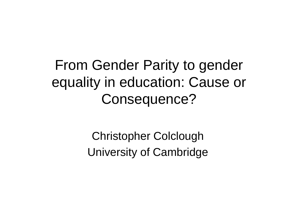From Gender Parity to gender equality in education: Cause or Consequence?

> Christopher Colclough University of Cambridge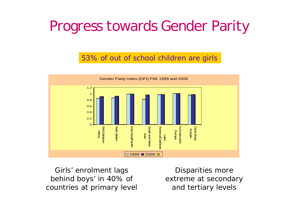## Progress towards Gender Parity

#### 53% of out of school children are girls



Girls' enrolment lags behind boys' in 40% of countries at primary level

Disparities more extreme at secondary and tertiary levels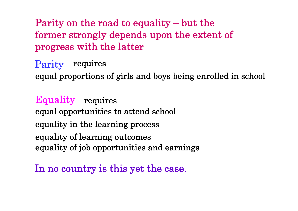Parity on the road to equality – but the Parity on the road to equality – but the<br>former strongly depends upon the exten former strongly depends upon the extent of<br>progress with the latter progress with the latter

Parity requires

equal proportions of girls and boys being enrolled in school

Equality requires equal opportunities to attend school equality in the learning process equality of learning outcomes equality of job opportunities and earnings

In no country is this yet the case.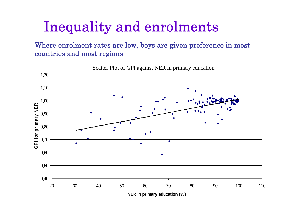## Inequality and enrolments

#### Where enrolment rates are low, boys are given preference in most countries and most regions



Scatter Plot of GPI against NER in primary education

**NER in primary education (%)**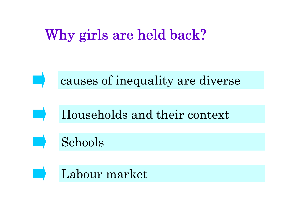# Why girls are held back?

#### causes of inequality are diverse

### Households and their context

#### $\operatorname{Schools}$

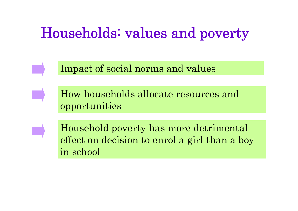## Households: values and poverty

Impact of social norms and values

How households allocate resources and opportunities

Household poverty has more detrimental effect on decision to enrol a girl than a boy in school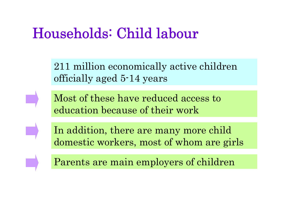## Households: Child labour

211 million economically active children officially aged 5-14 years

Most of these have reduced access to education because of their work

In addition, there are many more child domestic workers, most of whom are girls

Parents are main employers of children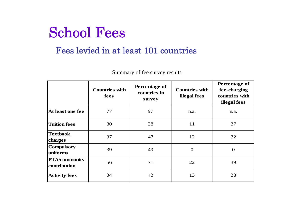#### School Fees

#### Fees levied in at least 101 countries

Summary of fee survey results

|                                      | <b>Countries with</b><br>fees | Percentage of<br>countries in<br>survey | <b>Countries with</b><br>illegal fees | Percentage of<br>fee-charging<br>countries with<br>illegal fees |
|--------------------------------------|-------------------------------|-----------------------------------------|---------------------------------------|-----------------------------------------------------------------|
| At least one fee                     | 77                            | 97                                      | n.a.                                  | n.a.                                                            |
| <b>Tuition fees</b>                  | 30                            | 38                                      | 11                                    | 37                                                              |
| <b>Textbook</b><br>charges           | 37                            | 47                                      | 12                                    | 32                                                              |
| <b>Compulsory</b><br>uniforms        | 39                            | 49                                      | $\overline{0}$                        | $\overline{0}$                                                  |
| <b>PTA/community</b><br>contribution | 56                            | 71                                      | 22                                    | 39                                                              |
| <b>Activity fees</b>                 | 34                            | 43                                      | 13                                    | 38                                                              |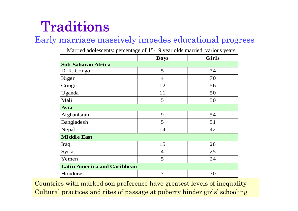# Traditions

#### Early marriage massively impedes educational progress

Married adolescents: percentage of 15-19 year olds married, various years

|                                    | <b>Boys</b>    | Girls |  |  |
|------------------------------------|----------------|-------|--|--|
| <b>Sub-Saharan Africa</b>          |                |       |  |  |
| D. R. Congo                        | 5              | 74    |  |  |
| Niger                              | $\overline{4}$ | 70    |  |  |
| Congo                              | 12             | 56    |  |  |
| Uganda                             | 11             | 50    |  |  |
| Mali                               | 5              | 50    |  |  |
| Asia                               |                |       |  |  |
| Afghanistan                        | 9              | 54    |  |  |
| Bangladesh                         | 5              | 51    |  |  |
| Nepal                              | 14             | 42    |  |  |
| <b>Middle East</b>                 |                |       |  |  |
| Iraq                               | 15             | 28    |  |  |
| Syria                              | $\overline{4}$ | 25    |  |  |
| Yemen                              | 5              | 24    |  |  |
| <b>Latin America and Caribbean</b> |                |       |  |  |
| Honduras                           | 7              | 30    |  |  |

Countries with marked son preference have greatest levels of inequality Cultural practices and rites of passage at puberty hinder girls' schooling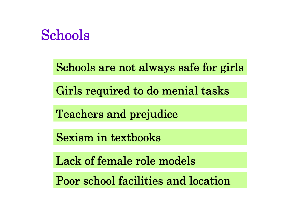

Schools are not always safe for girls

Girls required to do menial tasks

Teachers and prejudice

Sexism in textbooks

Lack of female role models

Poor school facilities and location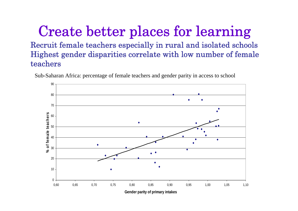#### Create better places for learning Recruit female teachers especially in rural and isolated schools Highest gender disparities correlate with low number of female teachers

Sub-Saharan Africa: percentage of female teachers and gender parity in access to school



**Gender parity of primary intakes**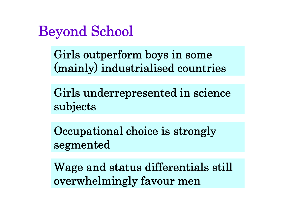### Beyond School

Girls outperform boys in some (mainly) industrialised countries

Girls underrepresented in science subjects

Occupational choice is strongly segmented

Wage and status differentials still overwhelmingly favour men